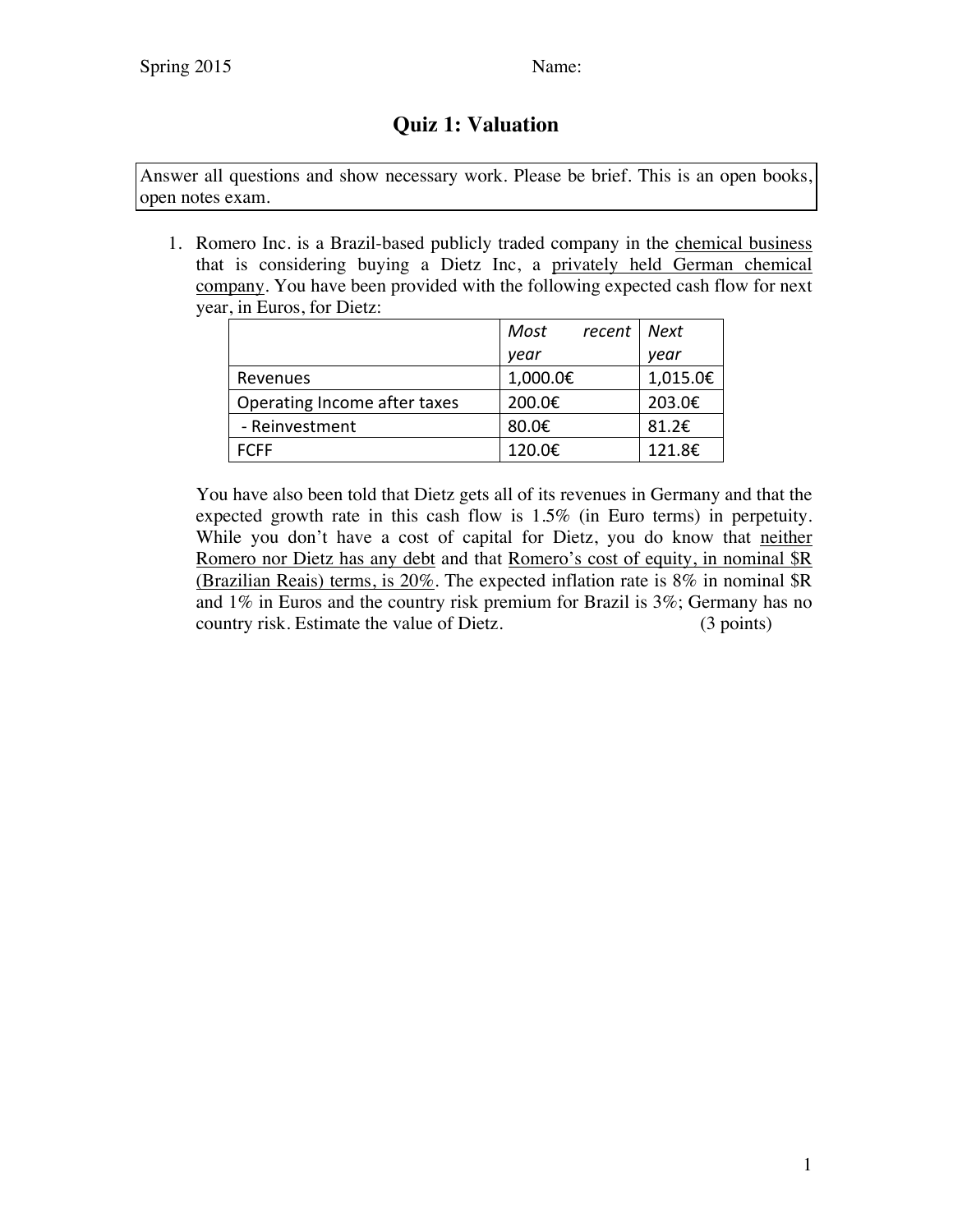## **Quiz 1: Valuation**

Answer all questions and show necessary work. Please be brief. This is an open books, open notes exam.

1. Romero Inc. is a Brazil-based publicly traded company in the chemical business that is considering buying a Dietz Inc, a privately held German chemical company. You have been provided with the following expected cash flow for next year, in Euros, for Dietz:

|                              | Most<br>recent | Next     |
|------------------------------|----------------|----------|
|                              | vear           | year     |
| Revenues                     | 1,000.0€       | 1,015.0€ |
| Operating Income after taxes | 200.0€         | 203.0€   |
| - Reinvestment               | 80.0€          | 81.2€    |
| FCFF                         | 120.0€         | 121.8€   |

You have also been told that Dietz gets all of its revenues in Germany and that the expected growth rate in this cash flow is 1.5% (in Euro terms) in perpetuity. While you don't have a cost of capital for Dietz, you do know that neither Romero nor Dietz has any debt and that Romero's cost of equity, in nominal \$R (Brazilian Reais) terms, is 20%. The expected inflation rate is 8% in nominal \$R and 1% in Euros and the country risk premium for Brazil is 3%; Germany has no country risk. Estimate the value of Dietz. (3 points)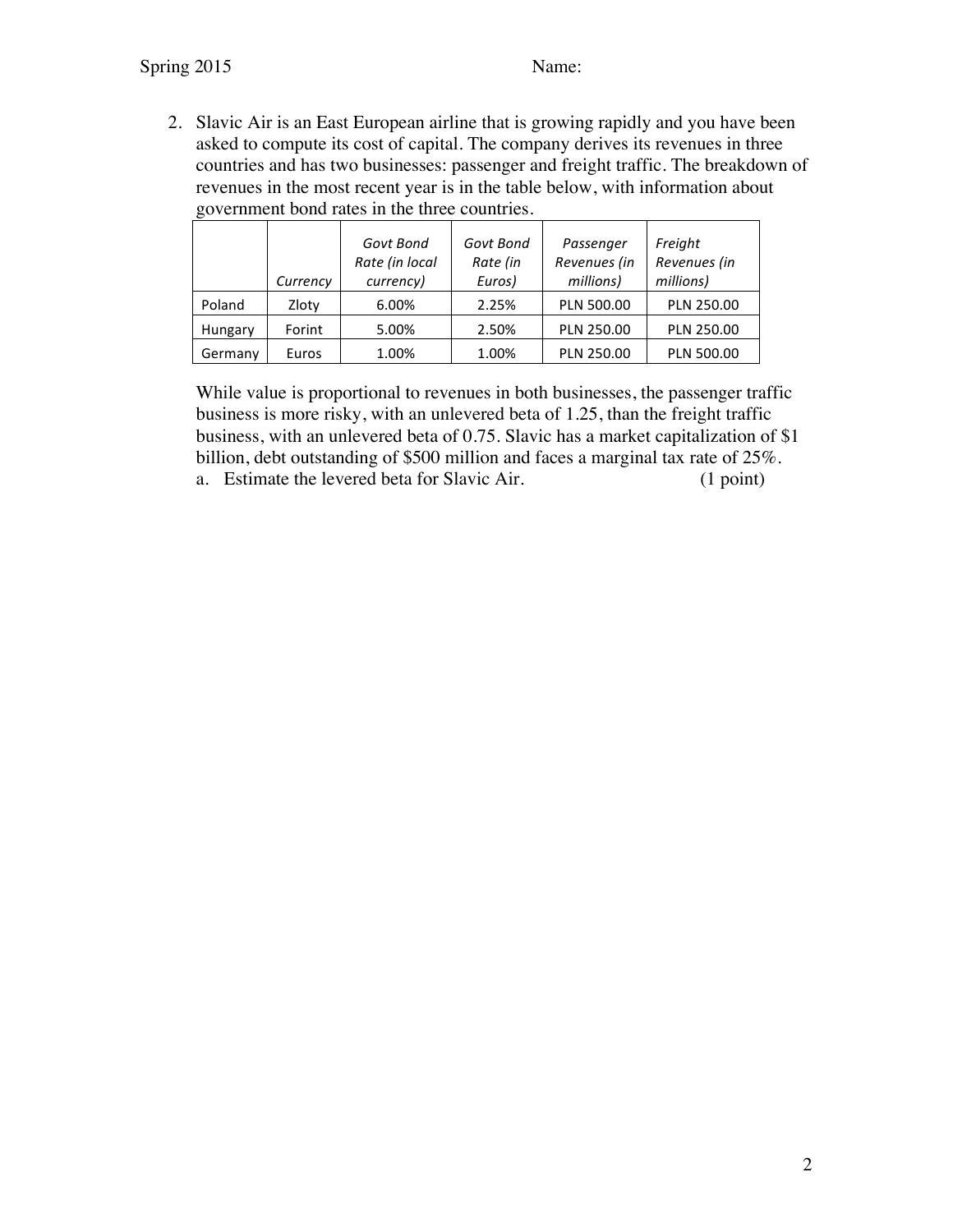2. Slavic Air is an East European airline that is growing rapidly and you have been asked to compute its cost of capital. The company derives its revenues in three countries and has two businesses: passenger and freight traffic. The breakdown of revenues in the most recent year is in the table below, with information about government bond rates in the three countries.

|         |          | Govt Bond<br>Rate (in local | Govt Bond<br>Rate (in | Passenger<br>Revenues (in | Freight<br>Revenues (in |
|---------|----------|-----------------------------|-----------------------|---------------------------|-------------------------|
|         | Currency | currency)                   | Euros)                | millions)                 | millions)               |
| Poland  | Zloty    | 6.00%                       | 2.25%                 | PLN 500.00                | PLN 250.00              |
| Hungary | Forint   | 5.00%                       | 2.50%                 | PLN 250.00                | PLN 250.00              |
| Germany | Euros    | 1.00%                       | 1.00%                 | PLN 250.00                | <b>PLN 500.00</b>       |

While value is proportional to revenues in both businesses, the passenger traffic business is more risky, with an unlevered beta of 1.25, than the freight traffic business, with an unlevered beta of 0.75. Slavic has a market capitalization of \$1 billion, debt outstanding of \$500 million and faces a marginal tax rate of 25%. a. Estimate the levered beta for Slavic Air. (1 point)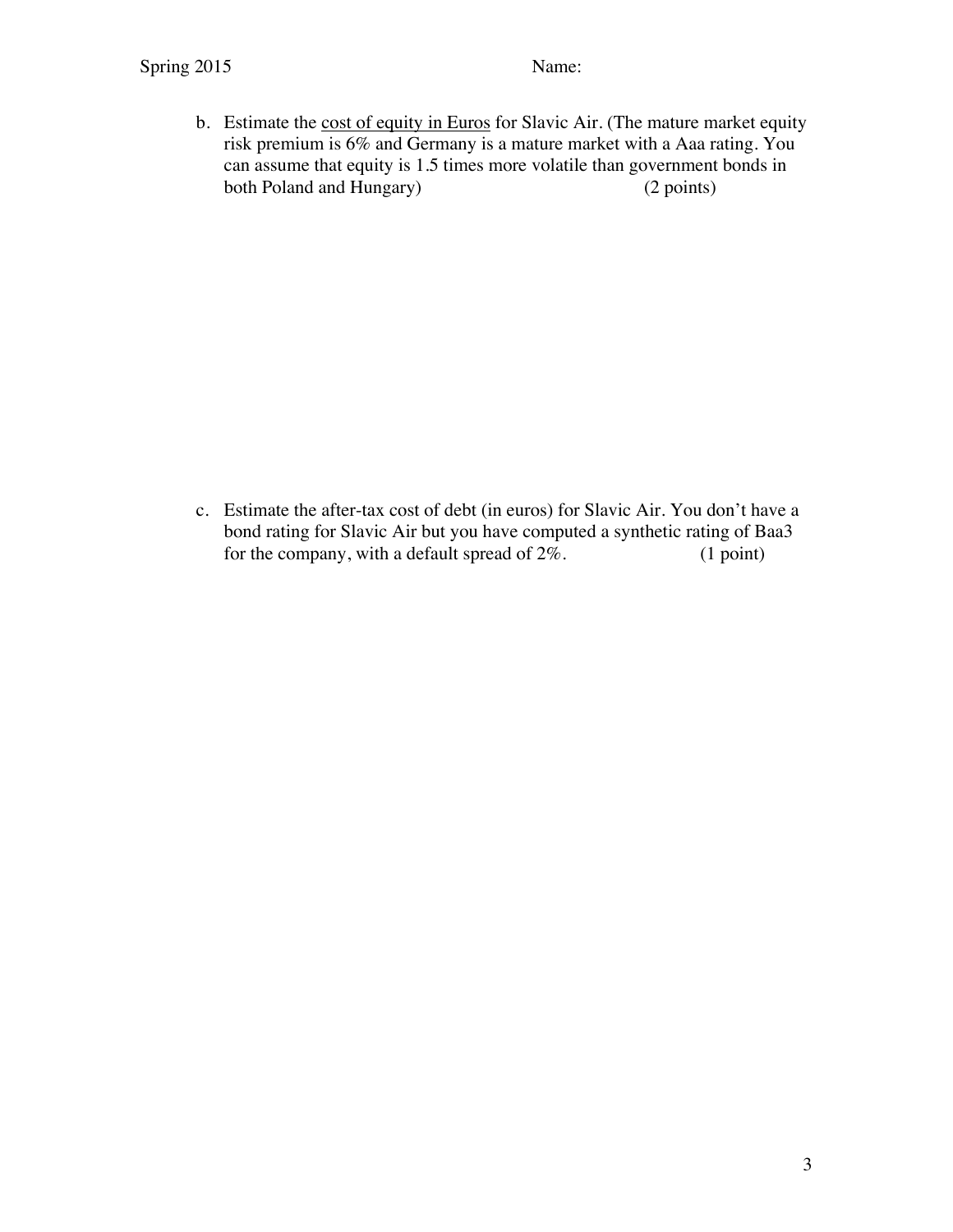b. Estimate the cost of equity in Euros for Slavic Air. (The mature market equity risk premium is 6% and Germany is a mature market with a Aaa rating. You can assume that equity is 1.5 times more volatile than government bonds in both Poland and Hungary) (2 points)

c. Estimate the after-tax cost of debt (in euros) for Slavic Air. You don't have a bond rating for Slavic Air but you have computed a synthetic rating of Baa3 for the company, with a default spread of  $2\%$ . (1 point)